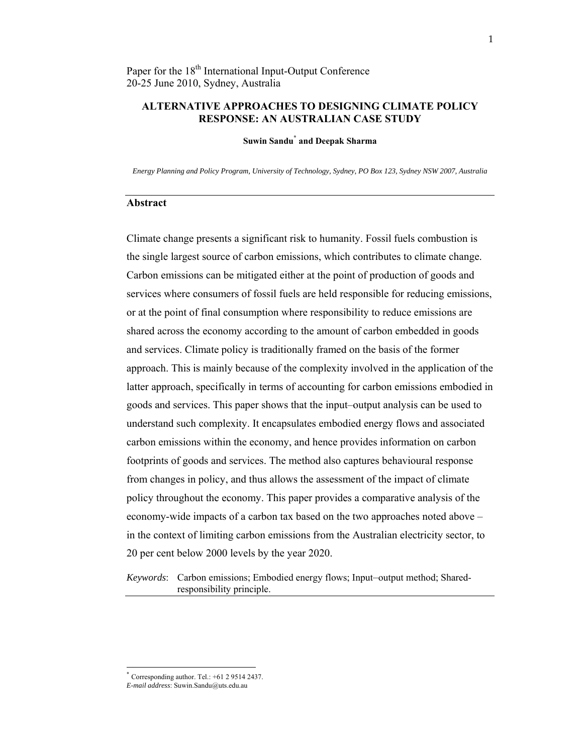## **ALTERNATIVE APPROACHES TO DESIGNING CLIMATE POLICY RESPONSE: AN AUSTRALIAN CASE STUDY**

#### **Suwin Sandu\* and Deepak Sharma**

*Energy Planning and Policy Program, University of Technology, Sydney, PO Box 123, Sydney NSW 2007, Australia*

#### **Abstract**

Climate change presents a significant risk to humanity. Fossil fuels combustion is the single largest source of carbon emissions, which contributes to climate change. Carbon emissions can be mitigated either at the point of production of goods and services where consumers of fossil fuels are held responsible for reducing emissions, or at the point of final consumption where responsibility to reduce emissions are shared across the economy according to the amount of carbon embedded in goods and services. Climate policy is traditionally framed on the basis of the former approach. This is mainly because of the complexity involved in the application of the latter approach, specifically in terms of accounting for carbon emissions embodied in goods and services. This paper shows that the input–output analysis can be used to understand such complexity. It encapsulates embodied energy flows and associated carbon emissions within the economy, and hence provides information on carbon footprints of goods and services. The method also captures behavioural response from changes in policy, and thus allows the assessment of the impact of climate policy throughout the economy. This paper provides a comparative analysis of the economy-wide impacts of a carbon tax based on the two approaches noted above – in the context of limiting carbon emissions from the Australian electricity sector, to 20 per cent below 2000 levels by the year 2020.

*Keywords*: Carbon emissions; Embodied energy flows; Input–output method; Sharedresponsibility principle.

 $*$  Corresponding author. Tel.:  $+61$  2 9514 2437.

*E-mail address*: Suwin.Sandu@uts.edu.au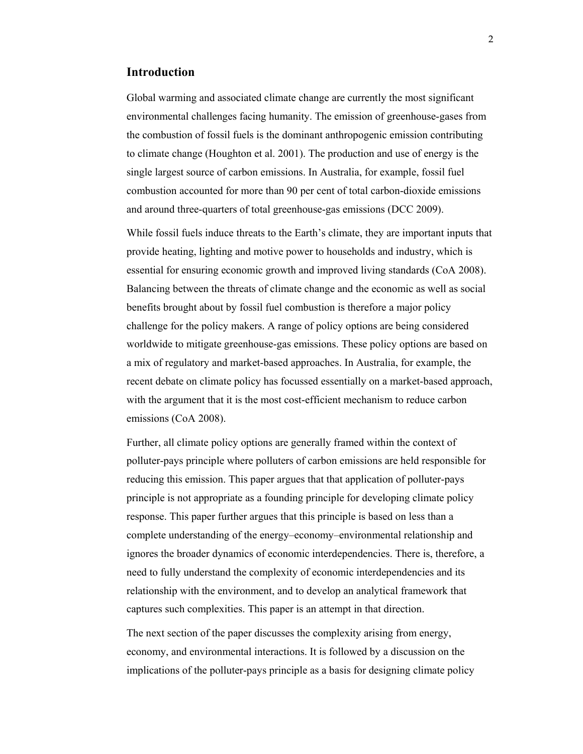# **Introduction**

Global warming and associated climate change are currently the most significant environmental challenges facing humanity. The emission of greenhouse-gases from the combustion of fossil fuels is the dominant anthropogenic emission contributing to climate change (Houghton et al. 2001). The production and use of energy is the single largest source of carbon emissions. In Australia, for example, fossil fuel combustion accounted for more than 90 per cent of total carbon-dioxide emissions and around three-quarters of total greenhouse-gas emissions (DCC 2009).

While fossil fuels induce threats to the Earth's climate, they are important inputs that provide heating, lighting and motive power to households and industry, which is essential for ensuring economic growth and improved living standards (CoA 2008). Balancing between the threats of climate change and the economic as well as social benefits brought about by fossil fuel combustion is therefore a major policy challenge for the policy makers. A range of policy options are being considered worldwide to mitigate greenhouse-gas emissions. These policy options are based on a mix of regulatory and market-based approaches. In Australia, for example, the recent debate on climate policy has focussed essentially on a market-based approach, with the argument that it is the most cost-efficient mechanism to reduce carbon emissions (CoA 2008).

Further, all climate policy options are generally framed within the context of polluter-pays principle where polluters of carbon emissions are held responsible for reducing this emission. This paper argues that that application of polluter-pays principle is not appropriate as a founding principle for developing climate policy response. This paper further argues that this principle is based on less than a complete understanding of the energy–economy–environmental relationship and ignores the broader dynamics of economic interdependencies. There is, therefore, a need to fully understand the complexity of economic interdependencies and its relationship with the environment, and to develop an analytical framework that captures such complexities. This paper is an attempt in that direction.

The next section of the paper discusses the complexity arising from energy, economy, and environmental interactions. It is followed by a discussion on the implications of the polluter-pays principle as a basis for designing climate policy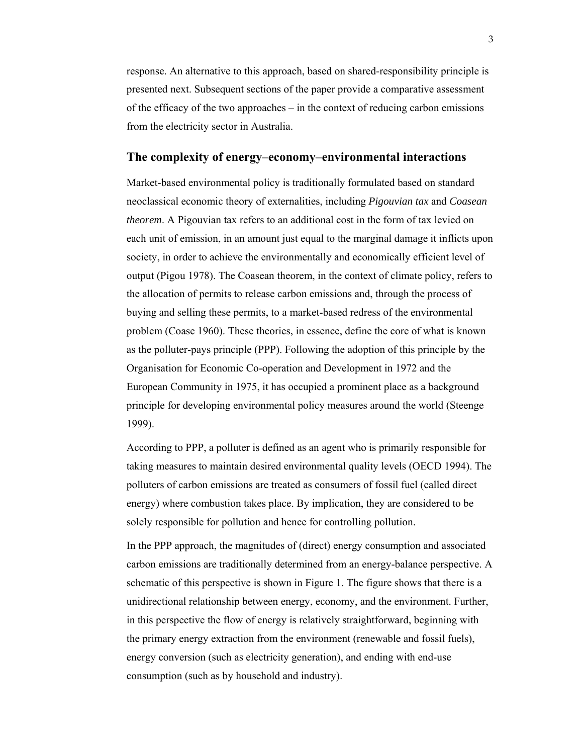response. An alternative to this approach, based on shared-responsibility principle is presented next. Subsequent sections of the paper provide a comparative assessment of the efficacy of the two approaches – in the context of reducing carbon emissions from the electricity sector in Australia.

## **The complexity of energy–economy–environmental interactions**

Market-based environmental policy is traditionally formulated based on standard neoclassical economic theory of externalities, including *Pigouvian tax* and *Coasean theorem*. A Pigouvian tax refers to an additional cost in the form of tax levied on each unit of emission, in an amount just equal to the marginal damage it inflicts upon society, in order to achieve the environmentally and economically efficient level of output (Pigou 1978). The Coasean theorem, in the context of climate policy, refers to the allocation of permits to release carbon emissions and, through the process of buying and selling these permits, to a market-based redress of the environmental problem (Coase 1960). These theories, in essence, define the core of what is known as the polluter-pays principle (PPP). Following the adoption of this principle by the Organisation for Economic Co-operation and Development in 1972 and the European Community in 1975, it has occupied a prominent place as a background principle for developing environmental policy measures around the world (Steenge 1999).

According to PPP, a polluter is defined as an agent who is primarily responsible for taking measures to maintain desired environmental quality levels (OECD 1994). The polluters of carbon emissions are treated as consumers of fossil fuel (called direct energy) where combustion takes place. By implication, they are considered to be solely responsible for pollution and hence for controlling pollution.

In the PPP approach, the magnitudes of (direct) energy consumption and associated carbon emissions are traditionally determined from an energy-balance perspective. A schematic of this perspective is shown in Figure 1. The figure shows that there is a unidirectional relationship between energy, economy, and the environment. Further, in this perspective the flow of energy is relatively straightforward, beginning with the primary energy extraction from the environment (renewable and fossil fuels), energy conversion (such as electricity generation), and ending with end-use consumption (such as by household and industry).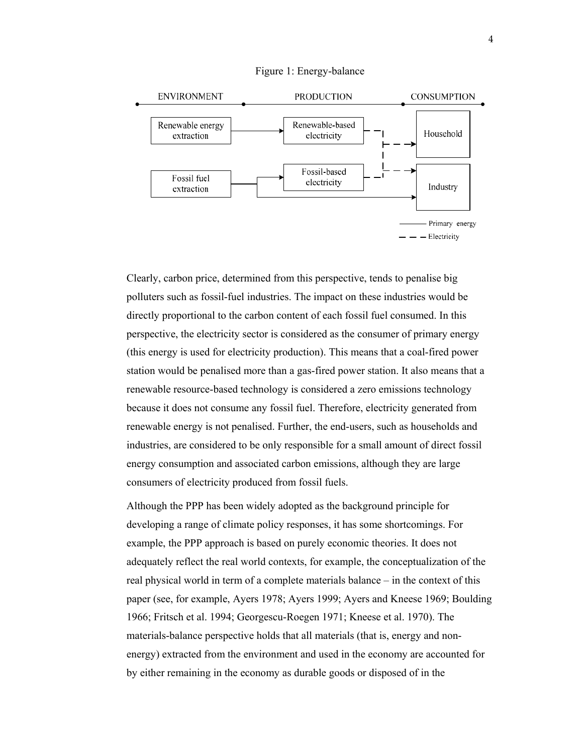

#### Figure 1: Energy-balance

Clearly, carbon price, determined from this perspective, tends to penalise big polluters such as fossil-fuel industries. The impact on these industries would be directly proportional to the carbon content of each fossil fuel consumed. In this perspective, the electricity sector is considered as the consumer of primary energy (this energy is used for electricity production). This means that a coal-fired power station would be penalised more than a gas-fired power station. It also means that a renewable resource-based technology is considered a zero emissions technology because it does not consume any fossil fuel. Therefore, electricity generated from renewable energy is not penalised. Further, the end-users, such as households and industries, are considered to be only responsible for a small amount of direct fossil energy consumption and associated carbon emissions, although they are large consumers of electricity produced from fossil fuels.

Although the PPP has been widely adopted as the background principle for developing a range of climate policy responses, it has some shortcomings. For example, the PPP approach is based on purely economic theories. It does not adequately reflect the real world contexts, for example, the conceptualization of the real physical world in term of a complete materials balance – in the context of this paper (see, for example, Ayers 1978; Ayers 1999; Ayers and Kneese 1969; Boulding 1966; Fritsch et al. 1994; Georgescu-Roegen 1971; Kneese et al. 1970). The materials-balance perspective holds that all materials (that is, energy and nonenergy) extracted from the environment and used in the economy are accounted for by either remaining in the economy as durable goods or disposed of in the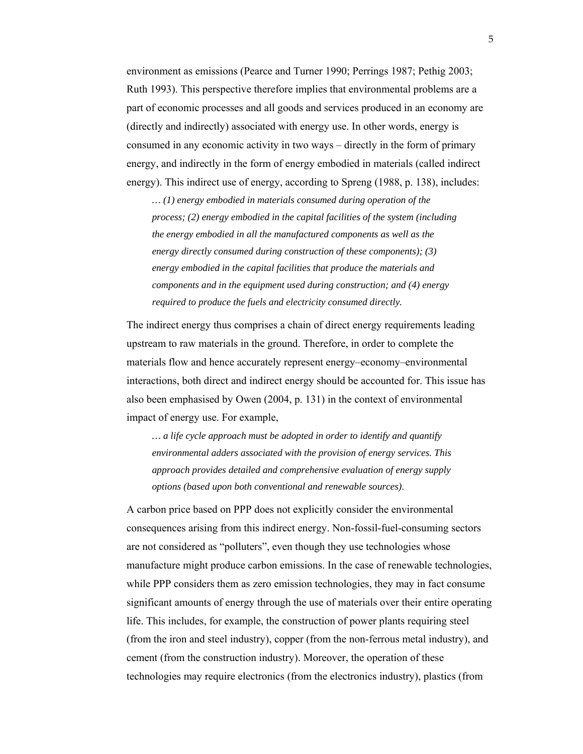environment as emissions (Pearce and Turner 1990; Perrings 1987; Pethig 2003; Ruth 1993). This perspective therefore implies that environmental problems are a part of economic processes and all goods and services produced in an economy are (directly and indirectly) associated with energy use. In other words, energy is consumed in any economic activity in two ways – directly in the form of primary energy, and indirectly in the form of energy embodied in materials (called indirect energy). This indirect use of energy, according to Spreng (1988, p. 138), includes:

*… (1) energy embodied in materials consumed during operation of the process; (2) energy embodied in the capital facilities of the system (including the energy embodied in all the manufactured components as well as the energy directly consumed during construction of these components); (3) energy embodied in the capital facilities that produce the materials and components and in the equipment used during construction; and (4) energy required to produce the fuels and electricity consumed directly.*

The indirect energy thus comprises a chain of direct energy requirements leading upstream to raw materials in the ground. Therefore, in order to complete the materials flow and hence accurately represent energy–economy–environmental interactions, both direct and indirect energy should be accounted for. This issue has also been emphasised by Owen (2004, p. 131) in the context of environmental impact of energy use. For example,

*… a life cycle approach must be adopted in order to identify and quantify environmental adders associated with the provision of energy services. This approach provides detailed and comprehensive evaluation of energy supply options (based upon both conventional and renewable sources)*.

A carbon price based on PPP does not explicitly consider the environmental consequences arising from this indirect energy. Non-fossil-fuel-consuming sectors are not considered as "polluters", even though they use technologies whose manufacture might produce carbon emissions. In the case of renewable technologies, while PPP considers them as zero emission technologies, they may in fact consume significant amounts of energy through the use of materials over their entire operating life. This includes, for example, the construction of power plants requiring steel (from the iron and steel industry), copper (from the non-ferrous metal industry), and cement (from the construction industry). Moreover, the operation of these technologies may require electronics (from the electronics industry), plastics (from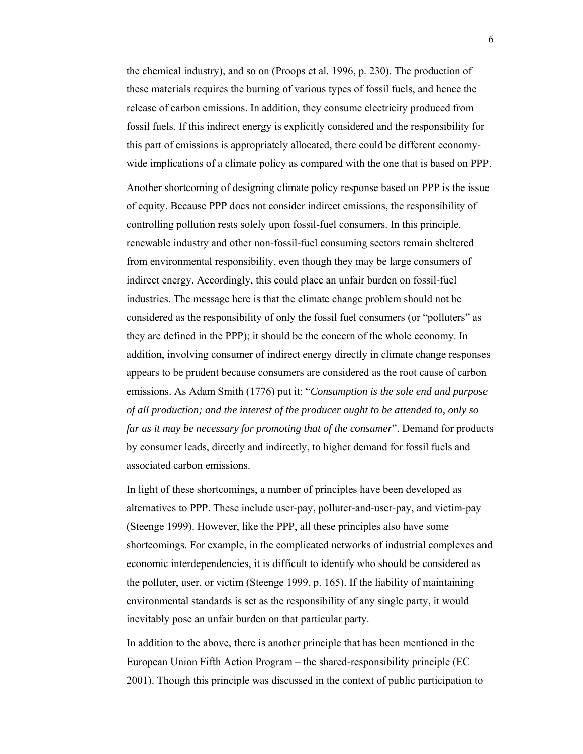the chemical industry), and so on (Proops et al. 1996, p. 230). The production of these materials requires the burning of various types of fossil fuels, and hence the release of carbon emissions. In addition, they consume electricity produced from fossil fuels. If this indirect energy is explicitly considered and the responsibility for this part of emissions is appropriately allocated, there could be different economywide implications of a climate policy as compared with the one that is based on PPP.

Another shortcoming of designing climate policy response based on PPP is the issue of equity. Because PPP does not consider indirect emissions, the responsibility of controlling pollution rests solely upon fossil-fuel consumers. In this principle, renewable industry and other non-fossil-fuel consuming sectors remain sheltered from environmental responsibility, even though they may be large consumers of indirect energy. Accordingly, this could place an unfair burden on fossil-fuel industries. The message here is that the climate change problem should not be considered as the responsibility of only the fossil fuel consumers (or "polluters" as they are defined in the PPP); it should be the concern of the whole economy. In addition, involving consumer of indirect energy directly in climate change responses appears to be prudent because consumers are considered as the root cause of carbon emissions. As Adam Smith (1776) put it: "*Consumption is the sole end and purpose of all production; and the interest of the producer ought to be attended to, only so far as it may be necessary for promoting that of the consumer*". Demand for products by consumer leads, directly and indirectly, to higher demand for fossil fuels and associated carbon emissions.

In light of these shortcomings, a number of principles have been developed as alternatives to PPP. These include user-pay, polluter-and-user-pay, and victim-pay (Steenge 1999). However, like the PPP, all these principles also have some shortcomings. For example, in the complicated networks of industrial complexes and economic interdependencies, it is difficult to identify who should be considered as the polluter, user, or victim (Steenge 1999, p. 165). If the liability of maintaining environmental standards is set as the responsibility of any single party, it would inevitably pose an unfair burden on that particular party.

In addition to the above, there is another principle that has been mentioned in the European Union Fifth Action Program – the shared-responsibility principle (EC 2001). Though this principle was discussed in the context of public participation to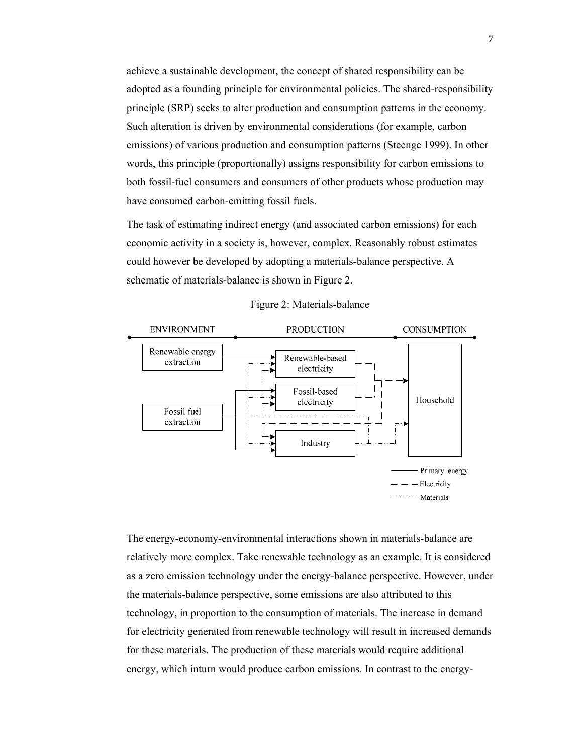achieve a sustainable development, the concept of shared responsibility can be adopted as a founding principle for environmental policies. The shared-responsibility principle (SRP) seeks to alter production and consumption patterns in the economy. Such alteration is driven by environmental considerations (for example, carbon emissions) of various production and consumption patterns (Steenge 1999). In other words, this principle (proportionally) assigns responsibility for carbon emissions to both fossil-fuel consumers and consumers of other products whose production may have consumed carbon-emitting fossil fuels.

The task of estimating indirect energy (and associated carbon emissions) for each economic activity in a society is, however, complex. Reasonably robust estimates could however be developed by adopting a materials-balance perspective. A schematic of materials-balance is shown in Figure 2.



Figure 2: Materials-balance

The energy-economy-environmental interactions shown in materials-balance are relatively more complex. Take renewable technology as an example. It is considered as a zero emission technology under the energy-balance perspective. However, under the materials-balance perspective, some emissions are also attributed to this technology, in proportion to the consumption of materials. The increase in demand for electricity generated from renewable technology will result in increased demands for these materials. The production of these materials would require additional energy, which inturn would produce carbon emissions. In contrast to the energy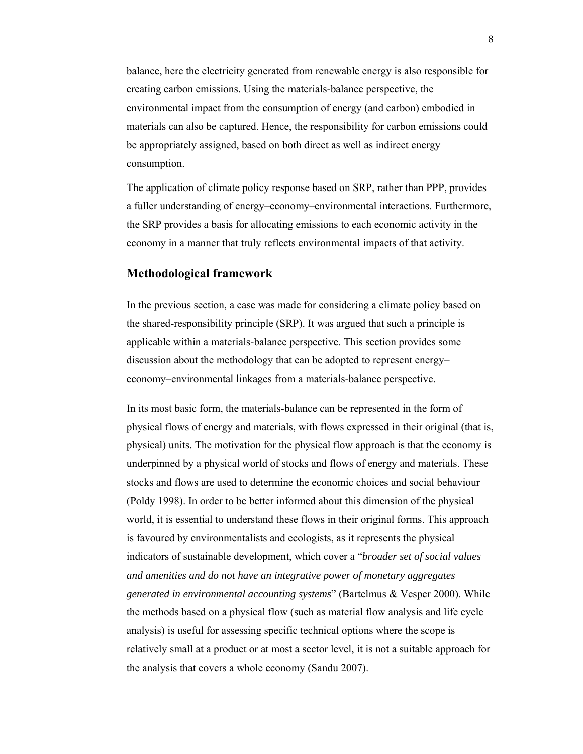balance, here the electricity generated from renewable energy is also responsible for creating carbon emissions. Using the materials-balance perspective, the environmental impact from the consumption of energy (and carbon) embodied in materials can also be captured. Hence, the responsibility for carbon emissions could be appropriately assigned, based on both direct as well as indirect energy consumption.

The application of climate policy response based on SRP, rather than PPP, provides a fuller understanding of energy–economy–environmental interactions. Furthermore, the SRP provides a basis for allocating emissions to each economic activity in the economy in a manner that truly reflects environmental impacts of that activity.

## **Methodological framework**

In the previous section, a case was made for considering a climate policy based on the shared-responsibility principle (SRP). It was argued that such a principle is applicable within a materials-balance perspective. This section provides some discussion about the methodology that can be adopted to represent energy– economy–environmental linkages from a materials-balance perspective.

In its most basic form, the materials-balance can be represented in the form of physical flows of energy and materials, with flows expressed in their original (that is, physical) units. The motivation for the physical flow approach is that the economy is underpinned by a physical world of stocks and flows of energy and materials. These stocks and flows are used to determine the economic choices and social behaviour (Poldy 1998). In order to be better informed about this dimension of the physical world, it is essential to understand these flows in their original forms. This approach is favoured by environmentalists and ecologists, as it represents the physical indicators of sustainable development, which cover a "*broader set of social values and amenities and do not have an integrative power of monetary aggregates generated in environmental accounting systems*" (Bartelmus & Vesper 2000). While the methods based on a physical flow (such as material flow analysis and life cycle analysis) is useful for assessing specific technical options where the scope is relatively small at a product or at most a sector level, it is not a suitable approach for the analysis that covers a whole economy (Sandu 2007).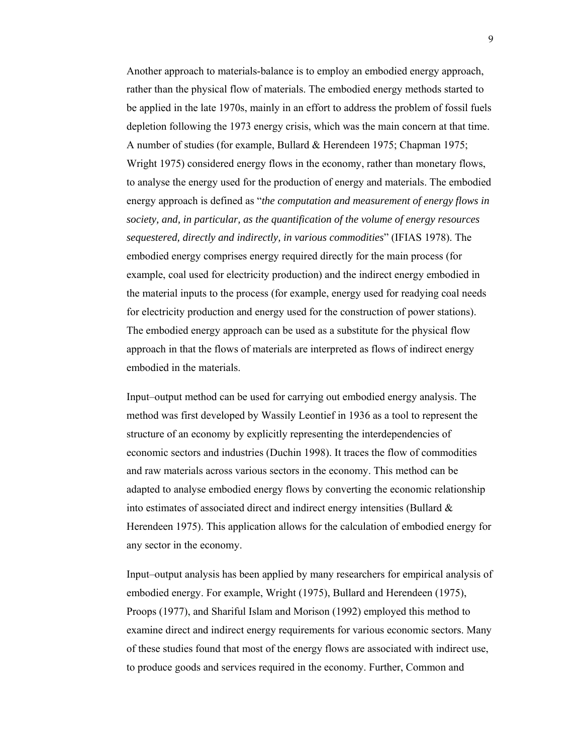Another approach to materials-balance is to employ an embodied energy approach, rather than the physical flow of materials. The embodied energy methods started to be applied in the late 1970s, mainly in an effort to address the problem of fossil fuels depletion following the 1973 energy crisis, which was the main concern at that time. A number of studies (for example, Bullard & Herendeen 1975; Chapman 1975; Wright 1975) considered energy flows in the economy, rather than monetary flows, to analyse the energy used for the production of energy and materials. The embodied energy approach is defined as "*the computation and measurement of energy flows in society, and, in particular, as the quantification of the volume of energy resources sequestered, directly and indirectly, in various commodities*" (IFIAS 1978). The embodied energy comprises energy required directly for the main process (for example, coal used for electricity production) and the indirect energy embodied in the material inputs to the process (for example, energy used for readying coal needs for electricity production and energy used for the construction of power stations). The embodied energy approach can be used as a substitute for the physical flow approach in that the flows of materials are interpreted as flows of indirect energy embodied in the materials.

Input–output method can be used for carrying out embodied energy analysis. The method was first developed by Wassily Leontief in 1936 as a tool to represent the structure of an economy by explicitly representing the interdependencies of economic sectors and industries (Duchin 1998). It traces the flow of commodities and raw materials across various sectors in the economy. This method can be adapted to analyse embodied energy flows by converting the economic relationship into estimates of associated direct and indirect energy intensities (Bullard  $\&$ Herendeen 1975). This application allows for the calculation of embodied energy for any sector in the economy.

Input–output analysis has been applied by many researchers for empirical analysis of embodied energy. For example, Wright (1975), Bullard and Herendeen (1975), Proops (1977), and Shariful Islam and Morison (1992) employed this method to examine direct and indirect energy requirements for various economic sectors. Many of these studies found that most of the energy flows are associated with indirect use, to produce goods and services required in the economy. Further, Common and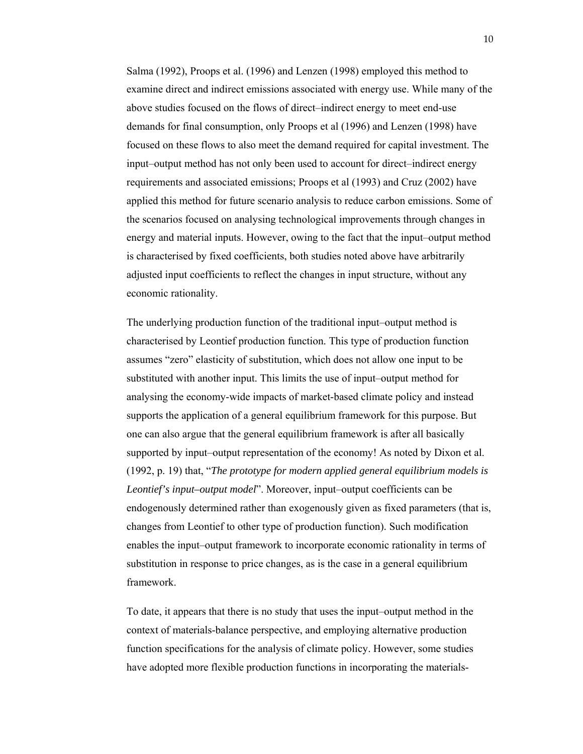Salma (1992), Proops et al. (1996) and Lenzen (1998) employed this method to examine direct and indirect emissions associated with energy use. While many of the above studies focused on the flows of direct–indirect energy to meet end-use demands for final consumption, only Proops et al (1996) and Lenzen (1998) have focused on these flows to also meet the demand required for capital investment. The input–output method has not only been used to account for direct–indirect energy requirements and associated emissions; Proops et al (1993) and Cruz (2002) have applied this method for future scenario analysis to reduce carbon emissions. Some of the scenarios focused on analysing technological improvements through changes in energy and material inputs. However, owing to the fact that the input–output method is characterised by fixed coefficients, both studies noted above have arbitrarily adjusted input coefficients to reflect the changes in input structure, without any economic rationality.

The underlying production function of the traditional input–output method is characterised by Leontief production function. This type of production function assumes "zero" elasticity of substitution, which does not allow one input to be substituted with another input. This limits the use of input–output method for analysing the economy-wide impacts of market-based climate policy and instead supports the application of a general equilibrium framework for this purpose. But one can also argue that the general equilibrium framework is after all basically supported by input–output representation of the economy! As noted by Dixon et al. (1992, p. 19) that, "*The prototype for modern applied general equilibrium models is Leontief's input–output model*". Moreover, input–output coefficients can be endogenously determined rather than exogenously given as fixed parameters (that is, changes from Leontief to other type of production function). Such modification enables the input–output framework to incorporate economic rationality in terms of substitution in response to price changes, as is the case in a general equilibrium framework.

To date, it appears that there is no study that uses the input–output method in the context of materials-balance perspective, and employing alternative production function specifications for the analysis of climate policy. However, some studies have adopted more flexible production functions in incorporating the materials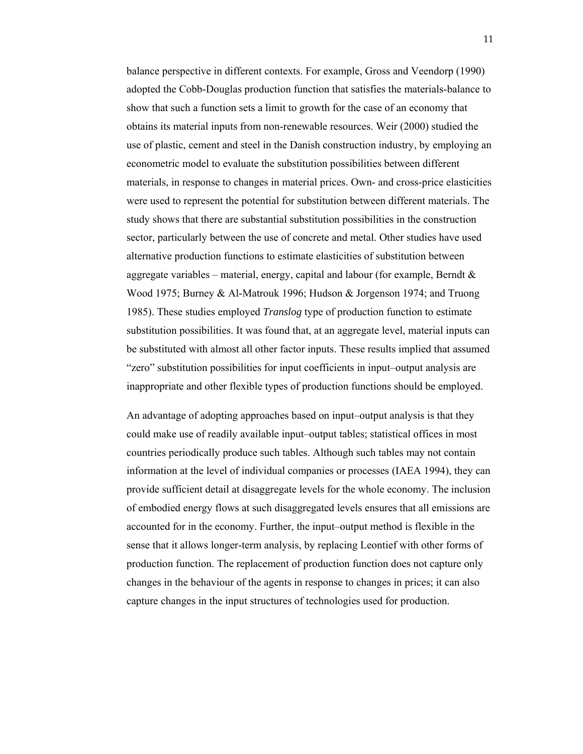balance perspective in different contexts. For example, Gross and Veendorp (1990) adopted the Cobb-Douglas production function that satisfies the materials-balance to show that such a function sets a limit to growth for the case of an economy that obtains its material inputs from non-renewable resources. Weir (2000) studied the use of plastic, cement and steel in the Danish construction industry, by employing an econometric model to evaluate the substitution possibilities between different materials, in response to changes in material prices. Own- and cross-price elasticities were used to represent the potential for substitution between different materials. The study shows that there are substantial substitution possibilities in the construction sector, particularly between the use of concrete and metal. Other studies have used alternative production functions to estimate elasticities of substitution between aggregate variables – material, energy, capital and labour (for example, Berndt  $\&$ Wood 1975; Burney & Al-Matrouk 1996; Hudson & Jorgenson 1974; and Truong 1985). These studies employed *Translog* type of production function to estimate substitution possibilities. It was found that, at an aggregate level, material inputs can be substituted with almost all other factor inputs. These results implied that assumed "zero" substitution possibilities for input coefficients in input–output analysis are inappropriate and other flexible types of production functions should be employed.

An advantage of adopting approaches based on input–output analysis is that they could make use of readily available input–output tables; statistical offices in most countries periodically produce such tables. Although such tables may not contain information at the level of individual companies or processes (IAEA 1994), they can provide sufficient detail at disaggregate levels for the whole economy. The inclusion of embodied energy flows at such disaggregated levels ensures that all emissions are accounted for in the economy. Further, the input–output method is flexible in the sense that it allows longer-term analysis, by replacing Leontief with other forms of production function. The replacement of production function does not capture only changes in the behaviour of the agents in response to changes in prices; it can also capture changes in the input structures of technologies used for production.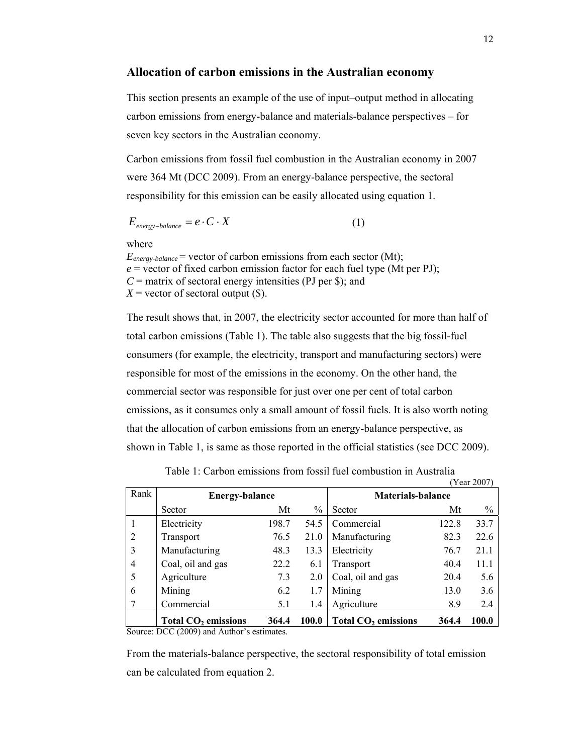## **Allocation of carbon emissions in the Australian economy**

This section presents an example of the use of input–output method in allocating carbon emissions from energy-balance and materials-balance perspectives – for seven key sectors in the Australian economy.

Carbon emissions from fossil fuel combustion in the Australian economy in 2007 were 364 Mt (DCC 2009). From an energy-balance perspective, the sectoral responsibility for this emission can be easily allocated using equation 1.

$$
E_{\text{energy-balance}} = e \cdot C \cdot X \tag{1}
$$

where

 $E_{energy\text{-}balance}$  = vector of carbon emissions from each sector (Mt);  $e$  = vector of fixed carbon emission factor for each fuel type (Mt per PJ); *C* = matrix of sectoral energy intensities (PJ per \$); and  $X =$  vector of sectoral output  $(\$)$ .

The result shows that, in 2007, the electricity sector accounted for more than half of total carbon emissions (Table 1). The table also suggests that the big fossil-fuel consumers (for example, the electricity, transport and manufacturing sectors) were responsible for most of the emissions in the economy. On the other hand, the commercial sector was responsible for just over one per cent of total carbon emissions, as it consumes only a small amount of fossil fuels. It is also worth noting that the allocation of carbon emissions from an energy-balance perspective, as shown in Table 1, is same as those reported in the official statistics (see DCC 2009).

|                |                                                                              |       |               |                                 |       | rear $200/1$ |
|----------------|------------------------------------------------------------------------------|-------|---------------|---------------------------------|-------|--------------|
| Rank           | <b>Energy-balance</b>                                                        |       |               | <b>Materials-balance</b>        |       |              |
|                | Sector                                                                       | Mt    | $\frac{0}{0}$ | Sector                          | Mt    | $\%$         |
|                | Electricity                                                                  | 198.7 | 54.5          | Commercial                      | 122.8 | 33.7         |
| $\overline{2}$ | Transport                                                                    | 76.5  | 21.0          | Manufacturing                   | 82.3  | 22.6         |
| 3              | Manufacturing                                                                | 48.3  | 13.3          | Electricity                     | 76.7  | 21.1         |
| $\overline{4}$ | Coal, oil and gas                                                            | 22.2  | 6.1           | Transport                       | 40.4  | 11.1         |
| 5              | Agriculture                                                                  | 7.3   | 2.0           | Coal, oil and gas               | 20.4  | 5.6          |
| 6              | Mining                                                                       | 6.2   | 1.7           | Mining                          | 13.0  | 3.6          |
|                | Commercial                                                                   | 5.1   | 1.4           | Agriculture                     | 8.9   | 2.4          |
|                | Total CO <sub>2</sub> emissions<br>$C = \text{DCA}(2000) + 1 + 1$ , $\cdots$ | 364.4 | 100.0         | Total CO <sub>2</sub> emissions | 364.4 | 100.0        |

Table 1: Carbon emissions from fossil fuel combustion in Australia  $2007$ 

Source: DCC (2009) and Author's estimates.

From the materials-balance perspective, the sectoral responsibility of total emission can be calculated from equation 2.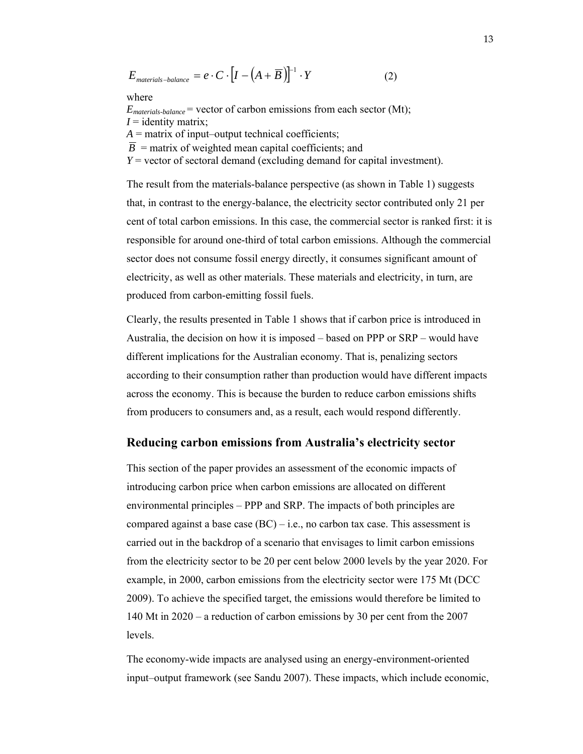$$
E_{\text{materials-balance}} = e \cdot C \cdot \left[ I - \left( A + \overline{B} \right) \right]^{-1} \cdot Y \tag{2}
$$

where

 $E_{\text{materials-balance}}$  = vector of carbon emissions from each sector (Mt);  $I =$  identity matrix;

 $A =$  matrix of input–output technical coefficients;

 $\overline{B}$  = matrix of weighted mean capital coefficients; and

*Y* = vector of sectoral demand (excluding demand for capital investment).

The result from the materials-balance perspective (as shown in Table 1) suggests that, in contrast to the energy-balance, the electricity sector contributed only 21 per cent of total carbon emissions. In this case, the commercial sector is ranked first: it is responsible for around one-third of total carbon emissions. Although the commercial sector does not consume fossil energy directly, it consumes significant amount of electricity, as well as other materials. These materials and electricity, in turn, are produced from carbon-emitting fossil fuels.

Clearly, the results presented in Table 1 shows that if carbon price is introduced in Australia, the decision on how it is imposed – based on PPP or SRP – would have different implications for the Australian economy. That is, penalizing sectors according to their consumption rather than production would have different impacts across the economy. This is because the burden to reduce carbon emissions shifts from producers to consumers and, as a result, each would respond differently.

## **Reducing carbon emissions from Australia's electricity sector**

This section of the paper provides an assessment of the economic impacts of introducing carbon price when carbon emissions are allocated on different environmental principles – PPP and SRP. The impacts of both principles are compared against a base case  $(BC) - i.e.,$  no carbon tax case. This assessment is carried out in the backdrop of a scenario that envisages to limit carbon emissions from the electricity sector to be 20 per cent below 2000 levels by the year 2020. For example, in 2000, carbon emissions from the electricity sector were 175 Mt (DCC 2009). To achieve the specified target, the emissions would therefore be limited to 140 Mt in 2020 – a reduction of carbon emissions by 30 per cent from the 2007 levels.

The economy-wide impacts are analysed using an energy-environment-oriented input–output framework (see Sandu 2007). These impacts, which include economic,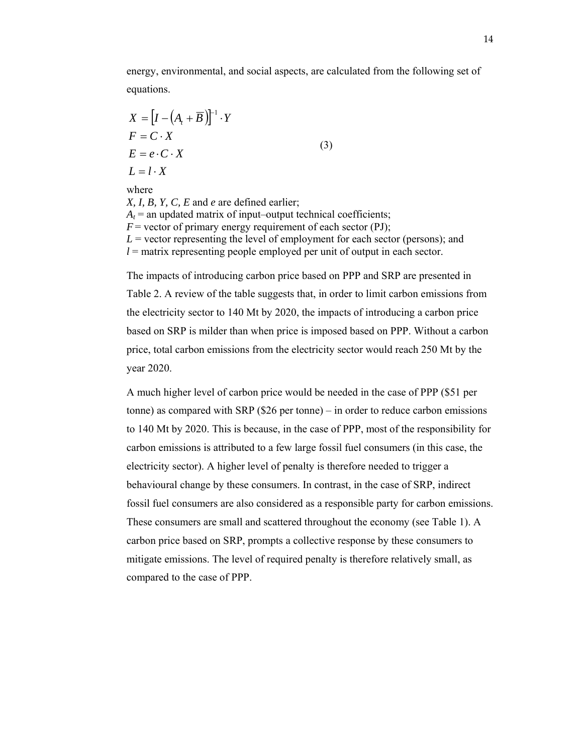energy, environmental, and social aspects, are calculated from the following set of equations.

$$
X = [I - (A_t + \overline{B})]^{-1} \cdot Y
$$
  
\n
$$
F = C \cdot X
$$
  
\n
$$
E = e \cdot C \cdot X
$$
  
\n
$$
L = l \cdot X
$$
  
\nwhere  
\n
$$
X, I, B, Y, C, E \text{ and } e \text{ are defined earlier;}
$$
  
\n
$$
A_t = \text{an updated matrix of input–output technical coefficients;}
$$
  
\n
$$
F = \text{vector of primary energy requirement of each sector (PJ);}
$$

 $L$  = vector representing the level of employment for each sector (persons); and *l* = matrix representing people employed per unit of output in each sector.

The impacts of introducing carbon price based on PPP and SRP are presented in Table 2. A review of the table suggests that, in order to limit carbon emissions from the electricity sector to 140 Mt by 2020, the impacts of introducing a carbon price based on SRP is milder than when price is imposed based on PPP. Without a carbon price, total carbon emissions from the electricity sector would reach 250 Mt by the year 2020.

A much higher level of carbon price would be needed in the case of PPP (\$51 per tonne) as compared with SRP (\$26 per tonne) – in order to reduce carbon emissions to 140 Mt by 2020. This is because, in the case of PPP, most of the responsibility for carbon emissions is attributed to a few large fossil fuel consumers (in this case, the electricity sector). A higher level of penalty is therefore needed to trigger a behavioural change by these consumers. In contrast, in the case of SRP, indirect fossil fuel consumers are also considered as a responsible party for carbon emissions. These consumers are small and scattered throughout the economy (see Table 1). A carbon price based on SRP, prompts a collective response by these consumers to mitigate emissions. The level of required penalty is therefore relatively small, as compared to the case of PPP.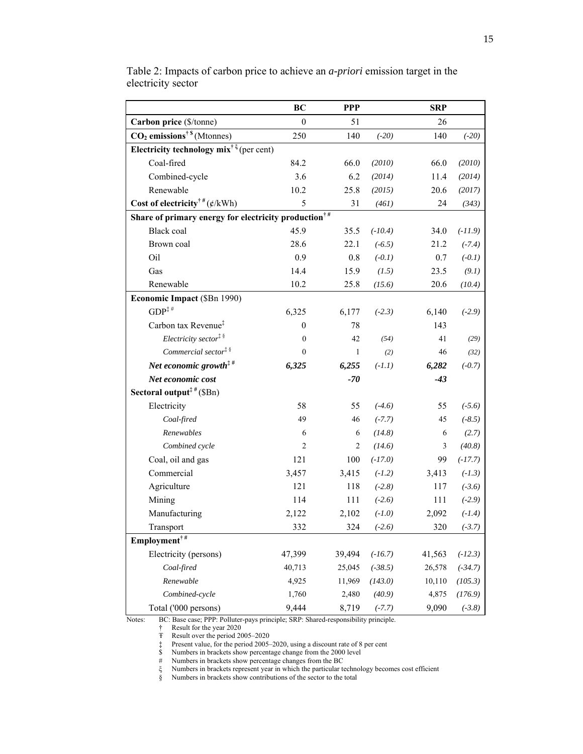|                                                                           | BC               | <b>PPP</b>     |           | <b>SRP</b>     |           |  |  |
|---------------------------------------------------------------------------|------------------|----------------|-----------|----------------|-----------|--|--|
| Carbon price (\$/tonne)                                                   | $\mathbf{0}$     | 51             |           | 26             |           |  |  |
| $CO2$ emissions <sup>† \$</sup> (Mtonnes)                                 | 250              | 140            | $(-20)$   | 140            | $(-20)$   |  |  |
| Electricity technology mix <sup><math>\dagger \xi</math></sup> (per cent) |                  |                |           |                |           |  |  |
| Coal-fired                                                                | 84.2             | 66.0           | (2010)    | 66.0           | (2010)    |  |  |
| Combined-cycle                                                            | 3.6              | 6.2            | (2014)    | 11.4           | (2014)    |  |  |
| Renewable                                                                 | 10.2             | 25.8           | (2015)    | 20.6           | (2017)    |  |  |
| Cost of electricity <sup>†#</sup> $(\phi/kWh)$                            | 5                | 31             | (461)     | 24             | (343)     |  |  |
| Share of primary energy for electricity production <sup>†#</sup>          |                  |                |           |                |           |  |  |
| <b>Black</b> coal                                                         | 45.9             | 35.5           | $(-10.4)$ | 34.0           | $(-11.9)$ |  |  |
| Brown coal                                                                | 28.6             | 22.1           | $(-6.5)$  | 21.2           | $(-7.4)$  |  |  |
| Oil                                                                       | 0.9              | 0.8            | $(-0.1)$  | 0.7            | $(-0.1)$  |  |  |
| Gas                                                                       | 14.4             | 15.9           | (1.5)     | 23.5           | (9.1)     |  |  |
| Renewable                                                                 | 10.2             | 25.8           | (15.6)    | 20.6           | (10.4)    |  |  |
| Economic Impact (\$Bn 1990)                                               |                  |                |           |                |           |  |  |
| $GDP^{\ddagger\#}$                                                        | 6,325            | 6,177          | $(-2.3)$  | 6,140          | $(-2.9)$  |  |  |
| Carbon tax Revenue <sup>‡</sup>                                           | $\mathbf{0}$     | 78             |           | 143            |           |  |  |
| Electricity sector <sup># §</sup>                                         | $\boldsymbol{0}$ | 42             | (54)      | 41             | (29)      |  |  |
| Commercial sector <sup>‡ §</sup>                                          | $\boldsymbol{0}$ | $\mathbf{1}$   | (2)       | 46             | (32)      |  |  |
| Net economic growth <sup><math>\ddagger</math>#</sup>                     | 6,325            | 6,255          | $(-1.1)$  | 6,282          | $(-0.7)$  |  |  |
| Net economic cost                                                         |                  | $-70$          |           | $-43$          |           |  |  |
| Sectoral output <sup>##</sup> (\$Bn)                                      |                  |                |           |                |           |  |  |
| Electricity                                                               | 58               | 55             | $(-4.6)$  | 55             | $(-5.6)$  |  |  |
| Coal-fired                                                                | 49               | 46             | $(-7.7)$  | 45             | $(-8.5)$  |  |  |
| Renewables                                                                | 6                | 6              | (14.8)    | 6              | (2.7)     |  |  |
| Combined cycle                                                            | $\overline{c}$   | $\overline{c}$ | (14.6)    | $\mathfrak{Z}$ | (40.8)    |  |  |
| Coal, oil and gas                                                         | 121              | 100            | $(-17.0)$ | 99             | $(-17.7)$ |  |  |
| Commercial                                                                | 3,457            | 3,415          | $(-1.2)$  | 3,413          | $(-1.3)$  |  |  |
| Agriculture                                                               | 121              | 118            | $(-2.8)$  | 117            | $(-3.6)$  |  |  |
| Mining                                                                    | 114              | 111            | $(-2.6)$  | 111            | $(-2.9)$  |  |  |
| Manufacturing                                                             | 2,122            | 2,102          | $(-1.0)$  | 2,092          | $(-1.4)$  |  |  |
| Transport                                                                 | 332              | 324            | $(-2.6)$  | 320            | $(-3.7)$  |  |  |
| Employment <sup>†#</sup>                                                  |                  |                |           |                |           |  |  |
| Electricity (persons)                                                     | 47,399           | 39,494         | $(-16.7)$ | 41,563         | $(-12.3)$ |  |  |
| Coal-fired                                                                | 40,713           | 25,045         | $(-38.5)$ | 26,578         | $(-34.7)$ |  |  |
| Renewable                                                                 | 4,925            | 11,969         | (143.0)   | 10,110         | (105.3)   |  |  |
| Combined-cycle                                                            | 1,760            | 2,480          | (40.9)    | 4,875          | (176.9)   |  |  |
| Total ('000 persons)                                                      | 9,444            | 8,719          | $(-7.7)$  | 9,090          | $(-3.8)$  |  |  |

Table 2: Impacts of carbon price to achieve an *a-priori* emission target in the electricity sector

Notes: BC: Base case; PPP: Polluter-pays principle; SRP: Shared-responsibility principle.

† Result for the year 2020

Ŧ Result over the period 2005–2020

‡ Present value, for the period 2005–2020, using a discount rate of 8 per cent

\$ Numbers in brackets show percentage change from the 2000 level

# Numbers in brackets show percentage changes from the BC

ξ Numbers in brackets represent year in which the particular technology becomes cost efficient

§ Numbers in brackets show contributions of the sector to the total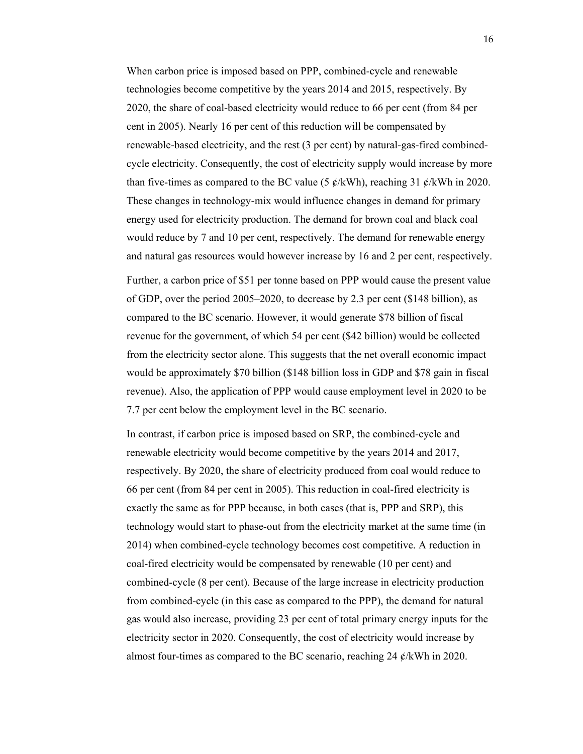When carbon price is imposed based on PPP, combined-cycle and renewable technologies become competitive by the years 2014 and 2015, respectively. By 2020, the share of coal-based electricity would reduce to 66 per cent (from 84 per cent in 2005). Nearly 16 per cent of this reduction will be compensated by renewable-based electricity, and the rest (3 per cent) by natural-gas-fired combinedcycle electricity. Consequently, the cost of electricity supply would increase by more than five-times as compared to the BC value (5  $\phi$ /kWh), reaching 31  $\phi$ /kWh in 2020. These changes in technology-mix would influence changes in demand for primary energy used for electricity production. The demand for brown coal and black coal would reduce by 7 and 10 per cent, respectively. The demand for renewable energy and natural gas resources would however increase by 16 and 2 per cent, respectively.

Further, a carbon price of \$51 per tonne based on PPP would cause the present value of GDP, over the period 2005–2020, to decrease by 2.3 per cent (\$148 billion), as compared to the BC scenario. However, it would generate \$78 billion of fiscal revenue for the government, of which 54 per cent (\$42 billion) would be collected from the electricity sector alone. This suggests that the net overall economic impact would be approximately \$70 billion (\$148 billion loss in GDP and \$78 gain in fiscal revenue). Also, the application of PPP would cause employment level in 2020 to be 7.7 per cent below the employment level in the BC scenario.

In contrast, if carbon price is imposed based on SRP, the combined-cycle and renewable electricity would become competitive by the years 2014 and 2017, respectively. By 2020, the share of electricity produced from coal would reduce to 66 per cent (from 84 per cent in 2005). This reduction in coal-fired electricity is exactly the same as for PPP because, in both cases (that is, PPP and SRP), this technology would start to phase-out from the electricity market at the same time (in 2014) when combined-cycle technology becomes cost competitive. A reduction in coal-fired electricity would be compensated by renewable (10 per cent) and combined-cycle (8 per cent). Because of the large increase in electricity production from combined-cycle (in this case as compared to the PPP), the demand for natural gas would also increase, providing 23 per cent of total primary energy inputs for the electricity sector in 2020. Consequently, the cost of electricity would increase by almost four-times as compared to the BC scenario, reaching  $24 \ell$ /kWh in 2020.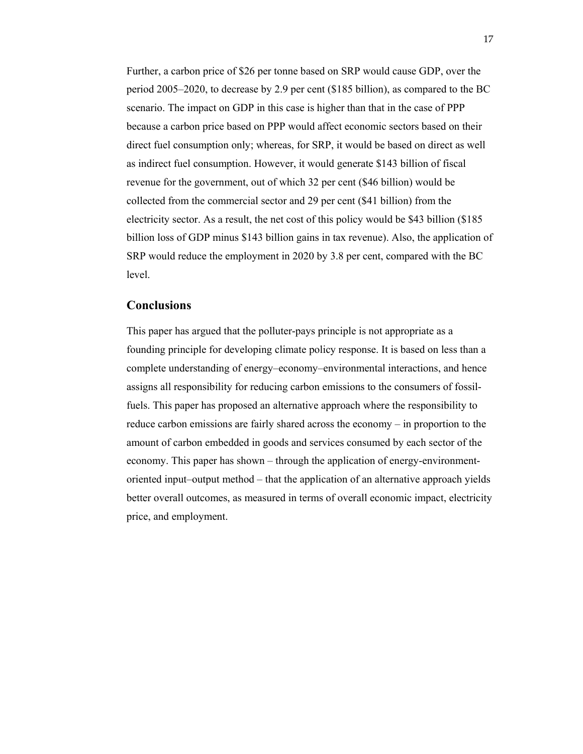Further, a carbon price of \$26 per tonne based on SRP would cause GDP, over the period 2005–2020, to decrease by 2.9 per cent (\$185 billion), as compared to the BC scenario. The impact on GDP in this case is higher than that in the case of PPP because a carbon price based on PPP would affect economic sectors based on their direct fuel consumption only; whereas, for SRP, it would be based on direct as well as indirect fuel consumption. However, it would generate \$143 billion of fiscal revenue for the government, out of which 32 per cent (\$46 billion) would be collected from the commercial sector and 29 per cent (\$41 billion) from the electricity sector. As a result, the net cost of this policy would be \$43 billion (\$185 billion loss of GDP minus \$143 billion gains in tax revenue). Also, the application of SRP would reduce the employment in 2020 by 3.8 per cent, compared with the BC level.

# **Conclusions**

This paper has argued that the polluter-pays principle is not appropriate as a founding principle for developing climate policy response. It is based on less than a complete understanding of energy–economy–environmental interactions, and hence assigns all responsibility for reducing carbon emissions to the consumers of fossilfuels. This paper has proposed an alternative approach where the responsibility to reduce carbon emissions are fairly shared across the economy – in proportion to the amount of carbon embedded in goods and services consumed by each sector of the economy. This paper has shown – through the application of energy-environmentoriented input–output method – that the application of an alternative approach yields better overall outcomes, as measured in terms of overall economic impact, electricity price, and employment.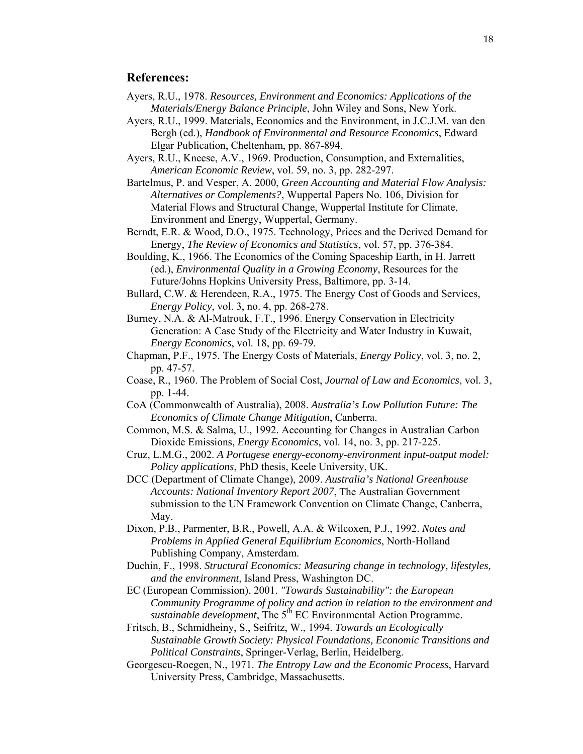## **References:**

- Ayers, R.U., 1978. *Resources, Environment and Economics: Applications of the Materials/Energy Balance Principle*, John Wiley and Sons, New York.
- Ayers, R.U., 1999. Materials, Economics and the Environment, in J.C.J.M. van den Bergh (ed.), *Handbook of Environmental and Resource Economics*, Edward Elgar Publication, Cheltenham, pp. 867-894.
- Ayers, R.U., Kneese, A.V., 1969. Production, Consumption, and Externalities, *American Economic Review*, vol. 59, no. 3, pp. 282-297.
- Bartelmus, P. and Vesper, A. 2000, *Green Accounting and Material Flow Analysis: Alternatives or Complements?*, Wuppertal Papers No. 106, Division for Material Flows and Structural Change, Wuppertal Institute for Climate, Environment and Energy, Wuppertal, Germany.
- Berndt, E.R. & Wood, D.O., 1975. Technology, Prices and the Derived Demand for Energy, *The Review of Economics and Statistics*, vol. 57, pp. 376-384.
- Boulding, K., 1966. The Economics of the Coming Spaceship Earth, in H. Jarrett (ed.), *Environmental Quality in a Growing Economy*, Resources for the Future/Johns Hopkins University Press, Baltimore, pp. 3-14.
- Bullard, C.W. & Herendeen, R.A., 1975. The Energy Cost of Goods and Services, *Energy Policy*, vol. 3, no. 4, pp. 268-278.
- Burney, N.A. & Al-Matrouk, F.T., 1996. Energy Conservation in Electricity Generation: A Case Study of the Electricity and Water Industry in Kuwait, *Energy Economics*, vol. 18, pp. 69-79.
- Chapman, P.F., 1975. The Energy Costs of Materials, *Energy Policy*, vol. 3, no. 2, pp. 47-57.
- Coase, R., 1960. The Problem of Social Cost, *Journal of Law and Economics*, vol. 3, pp. 1-44.
- CoA (Commonwealth of Australia), 2008. *Australia's Low Pollution Future: The Economics of Climate Change Mitigation*, Canberra.
- Common, M.S. & Salma, U., 1992. Accounting for Changes in Australian Carbon Dioxide Emissions, *Energy Economics*, vol. 14, no. 3, pp. 217-225.
- Cruz, L.M.G., 2002. *A Portugese energy-economy-environment input-output model: Policy applications*, PhD thesis, Keele University, UK.
- DCC (Department of Climate Change), 2009. *Australia's National Greenhouse Accounts: National Inventory Report 2007*, The Australian Government submission to the UN Framework Convention on Climate Change, Canberra, May.
- Dixon, P.B., Parmenter, B.R., Powell, A.A. & Wilcoxen, P.J., 1992. *Notes and Problems in Applied General Equilibrium Economics*, North-Holland Publishing Company, Amsterdam.
- Duchin, F., 1998. *Structural Economics: Measuring change in technology, lifestyles, and the environment*, Island Press, Washington DC.
- EC (European Commission), 2001. *"Towards Sustainability": the European Community Programme of policy and action in relation to the environment and sustainable development*, The 5<sup>th</sup> EC Environmental Action Programme.
- Fritsch, B., Schmidheiny, S., Seifritz, W., 1994. *Towards an Ecologically Sustainable Growth Society: Physical Foundations, Economic Transitions and Political Constraints*, Springer-Verlag, Berlin, Heidelberg.
- Georgescu-Roegen, N., 1971. *The Entropy Law and the Economic Process*, Harvard University Press, Cambridge, Massachusetts.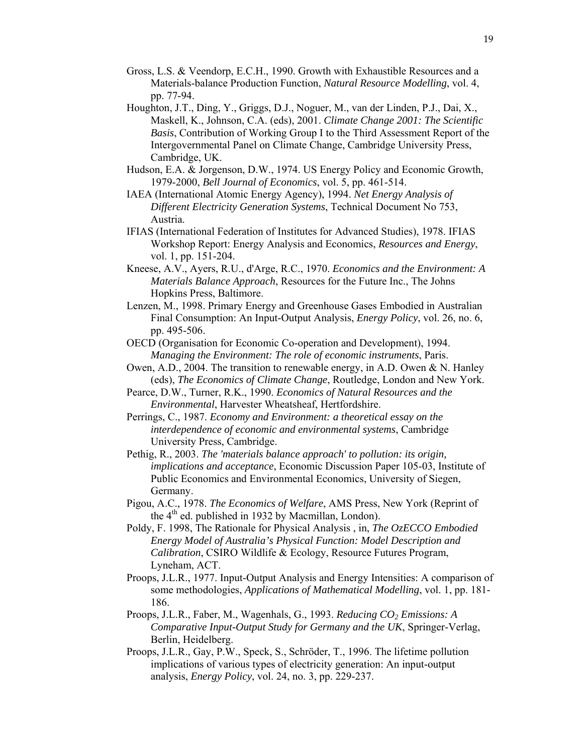- Gross, L.S. & Veendorp, E.C.H., 1990. Growth with Exhaustible Resources and a Materials-balance Production Function, *Natural Resource Modelling*, vol. 4, pp. 77-94.
- Houghton, J.T., Ding, Y., Griggs, D.J., Noguer, M., van der Linden, P.J., Dai, X., Maskell, K., Johnson, C.A. (eds), 2001. *Climate Change 2001: The Scientific Basis*, Contribution of Working Group I to the Third Assessment Report of the Intergovernmental Panel on Climate Change, Cambridge University Press, Cambridge, UK.
- Hudson, E.A. & Jorgenson, D.W., 1974. US Energy Policy and Economic Growth, 1979-2000, *Bell Journal of Economics*, vol. 5, pp. 461-514.
- IAEA (International Atomic Energy Agency), 1994. *Net Energy Analysis of Different Electricity Generation Systems*, Technical Document No 753, Austria.
- IFIAS (International Federation of Institutes for Advanced Studies), 1978. IFIAS Workshop Report: Energy Analysis and Economics, *Resources and Energy*, vol. 1, pp. 151-204.
- Kneese, A.V., Ayers, R.U., d'Arge, R.C., 1970. *Economics and the Environment: A Materials Balance Approach*, Resources for the Future Inc., The Johns Hopkins Press, Baltimore.
- Lenzen, M., 1998. Primary Energy and Greenhouse Gases Embodied in Australian Final Consumption: An Input-Output Analysis, *Energy Policy*, vol. 26, no. 6, pp. 495-506.
- OECD (Organisation for Economic Co-operation and Development), 1994. *Managing the Environment: The role of economic instruments*, Paris.
- Owen, A.D., 2004. The transition to renewable energy, in A.D. Owen & N. Hanley (eds), *The Economics of Climate Change*, Routledge, London and New York.
- Pearce, D.W., Turner, R.K., 1990. *Economics of Natural Resources and the Environmental*, Harvester Wheatsheaf, Hertfordshire.
- Perrings, C., 1987. *Economy and Environment: a theoretical essay on the interdependence of economic and environmental systems*, Cambridge University Press, Cambridge.
- Pethig, R., 2003. *The 'materials balance approach' to pollution: its origin, implications and acceptance*, Economic Discussion Paper 105-03, Institute of Public Economics and Environmental Economics, University of Siegen, Germany.
- Pigou, A.C., 1978. *The Economics of Welfare*, AMS Press, New York (Reprint of the  $4<sup>th</sup>$  ed. published in 1932 by Macmillan, London).
- Poldy, F. 1998, The Rationale for Physical Analysis , in, *The OzECCO Embodied Energy Model of Australia's Physical Function: Model Description and Calibration*, CSIRO Wildlife & Ecology, Resource Futures Program, Lyneham, ACT.
- Proops, J.L.R., 1977. Input-Output Analysis and Energy Intensities: A comparison of some methodologies, *Applications of Mathematical Modelling*, vol. 1, pp. 181- 186.
- Proops, J.L.R., Faber, M., Wagenhals, G., 1993. *Reducing CO<sub>2</sub> Emissions: A Comparative Input-Output Study for Germany and the UK*, Springer-Verlag, Berlin, Heidelberg.
- Proops, J.L.R., Gay, P.W., Speck, S., Schröder, T., 1996. The lifetime pollution implications of various types of electricity generation: An input-output analysis, *Energy Policy*, vol. 24, no. 3, pp. 229-237.